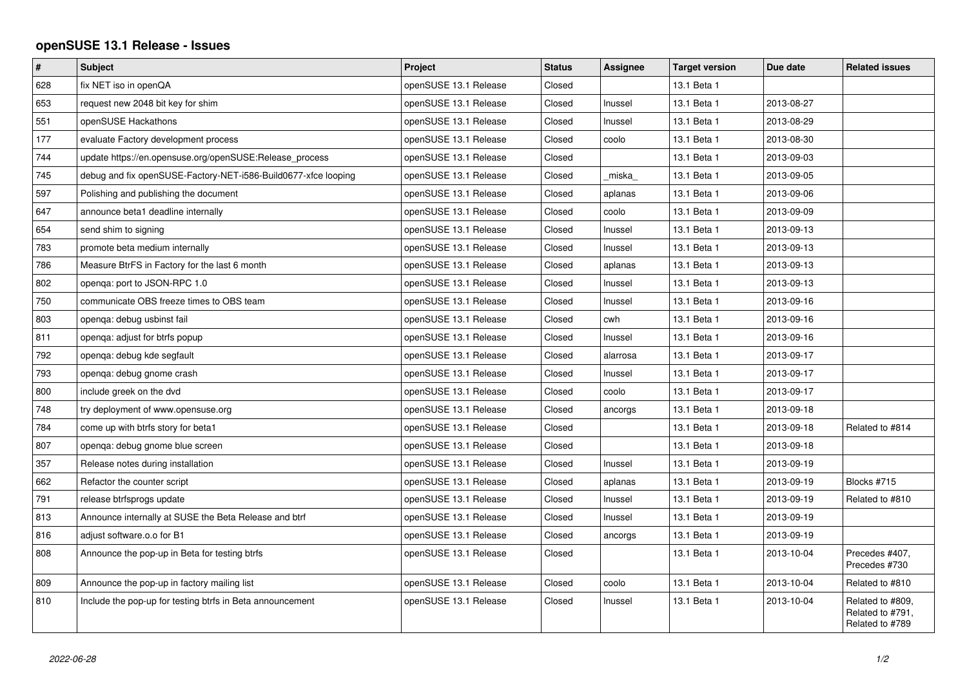## **openSUSE 13.1 Release - Issues**

| $\vert$ # | <b>Subject</b>                                                 | Project               | <b>Status</b> | Assignee | <b>Target version</b> | Due date   | <b>Related issues</b>                                   |
|-----------|----------------------------------------------------------------|-----------------------|---------------|----------|-----------------------|------------|---------------------------------------------------------|
| 628       | fix NET iso in openQA                                          | openSUSE 13.1 Release | Closed        |          | 13.1 Beta 1           |            |                                                         |
| 653       | request new 2048 bit key for shim                              | openSUSE 13.1 Release | Closed        | Inussel  | 13.1 Beta 1           | 2013-08-27 |                                                         |
| 551       | openSUSE Hackathons                                            | openSUSE 13.1 Release | Closed        | Inussel  | 13.1 Beta 1           | 2013-08-29 |                                                         |
| 177       | evaluate Factory development process                           | openSUSE 13.1 Release | Closed        | coolo    | 13.1 Beta 1           | 2013-08-30 |                                                         |
| 744       | update https://en.opensuse.org/openSUSE:Release_process        | openSUSE 13.1 Release | Closed        |          | 13.1 Beta 1           | 2013-09-03 |                                                         |
| 745       | debug and fix openSUSE-Factory-NET-i586-Build0677-xfce looping | openSUSE 13.1 Release | Closed        | miska    | 13.1 Beta 1           | 2013-09-05 |                                                         |
| 597       | Polishing and publishing the document                          | openSUSE 13.1 Release | Closed        | aplanas  | 13.1 Beta 1           | 2013-09-06 |                                                         |
| 647       | announce beta1 deadline internally                             | openSUSE 13.1 Release | Closed        | coolo    | 13.1 Beta 1           | 2013-09-09 |                                                         |
| 654       | send shim to signing                                           | openSUSE 13.1 Release | Closed        | Inussel  | 13.1 Beta 1           | 2013-09-13 |                                                         |
| 783       | promote beta medium internally                                 | openSUSE 13.1 Release | Closed        | Inussel  | 13.1 Beta 1           | 2013-09-13 |                                                         |
| 786       | Measure BtrFS in Factory for the last 6 month                  | openSUSE 13.1 Release | Closed        | aplanas  | 13.1 Beta 1           | 2013-09-13 |                                                         |
| 802       | openga: port to JSON-RPC 1.0                                   | openSUSE 13.1 Release | Closed        | Inussel  | 13.1 Beta 1           | 2013-09-13 |                                                         |
| 750       | communicate OBS freeze times to OBS team                       | openSUSE 13.1 Release | Closed        | Inussel  | 13.1 Beta 1           | 2013-09-16 |                                                         |
| 803       | openga: debug usbinst fail                                     | openSUSE 13.1 Release | Closed        | cwh      | 13.1 Beta 1           | 2013-09-16 |                                                         |
| 811       | openga: adjust for btrfs popup                                 | openSUSE 13.1 Release | Closed        | Inussel  | 13.1 Beta 1           | 2013-09-16 |                                                         |
| 792       | openqa: debug kde segfault                                     | openSUSE 13.1 Release | Closed        | alarrosa | 13.1 Beta 1           | 2013-09-17 |                                                         |
| 793       | openga: debug gnome crash                                      | openSUSE 13.1 Release | Closed        | Inussel  | 13.1 Beta 1           | 2013-09-17 |                                                         |
| 800       | include greek on the dvd                                       | openSUSE 13.1 Release | Closed        | coolo    | 13.1 Beta 1           | 2013-09-17 |                                                         |
| 748       | try deployment of www.opensuse.org                             | openSUSE 13.1 Release | Closed        | ancorgs  | 13.1 Beta 1           | 2013-09-18 |                                                         |
| 784       | come up with btrfs story for beta1                             | openSUSE 13.1 Release | Closed        |          | 13.1 Beta 1           | 2013-09-18 | Related to #814                                         |
| 807       | openqa: debug gnome blue screen                                | openSUSE 13.1 Release | Closed        |          | 13.1 Beta 1           | 2013-09-18 |                                                         |
| 357       | Release notes during installation                              | openSUSE 13.1 Release | Closed        | Inussel  | 13.1 Beta 1           | 2013-09-19 |                                                         |
| 662       | Refactor the counter script                                    | openSUSE 13.1 Release | Closed        | aplanas  | 13.1 Beta 1           | 2013-09-19 | Blocks #715                                             |
| 791       | release btrfsprogs update                                      | openSUSE 13.1 Release | Closed        | Inussel  | 13.1 Beta 1           | 2013-09-19 | Related to #810                                         |
| 813       | Announce internally at SUSE the Beta Release and btrf          | openSUSE 13.1 Release | Closed        | Inussel  | 13.1 Beta 1           | 2013-09-19 |                                                         |
| 816       | adjust software.o.o for B1                                     | openSUSE 13.1 Release | Closed        | ancorgs  | 13.1 Beta 1           | 2013-09-19 |                                                         |
| 808       | Announce the pop-up in Beta for testing btrfs                  | openSUSE 13.1 Release | Closed        |          | 13.1 Beta 1           | 2013-10-04 | Precedes #407.<br>Precedes #730                         |
| 809       | Announce the pop-up in factory mailing list                    | openSUSE 13.1 Release | Closed        | coolo    | 13.1 Beta 1           | 2013-10-04 | Related to #810                                         |
| 810       | Include the pop-up for testing btrfs in Beta announcement      | openSUSE 13.1 Release | Closed        | Inussel  | 13.1 Beta 1           | 2013-10-04 | Related to #809,<br>Related to #791,<br>Related to #789 |